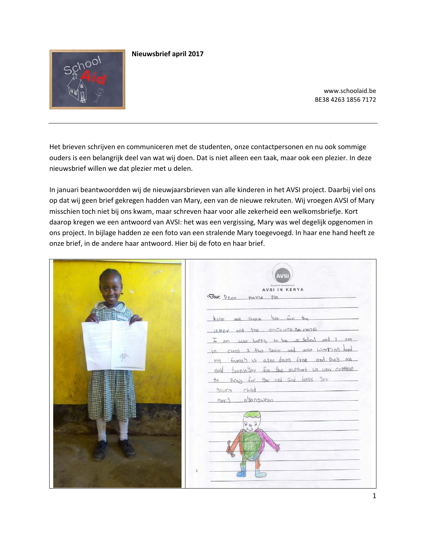

#### **Nieuwsbrief april 2017**

www.schoolaid.be BE38 4263 1856 7172

Het brieven schrijven en communiceren met de studenten, onze contactpersonen en nu ook sommige ouders is een belangrijk deel van wat wij doen. Dat is niet alleen een taak, maar ook een plezier. In deze nieuwsbrief willen we dat plezier met u delen.

In januari beantwoordden wij de nieuwjaarsbrieven van alle kinderen in het AVSI project. Daarbij viel ons op dat wij geen brief gekregen hadden van Mary, een van de nieuwe rekruten. Wij vroegen AVSI of Mary misschien toch niet bij ons kwam, maar schreven haar voor alle zekerheid een welkomsbriefje. Kort daarop kregen we een antwoord van AVSI: het was een vergissing, Mary was wel degelijk opgenomen in ons project. In bijlage hadden ze een foto van een stralende Mary toegevoegd. In haar ene hand heeft ze onze brief, in de andere haar antwoord. Hier bij de foto en haar brief.

| People for development<br>AVSI IN KENYA<br>Dear, Dear maria Pla                                                                                                                                      |
|------------------------------------------------------------------------------------------------------------------------------------------------------------------------------------------------------|
| Hallo and thank you for the<br>letter and the enfourage ments<br>I am asso happy to be in school and I am<br>in class 3 this year and also working hand<br>my family is also doing fine and they all |
| sald than in for the surport we will continue<br>to pray for you and God bess you<br>yours child<br>mary planguesa<br>respectively.                                                                  |
| <b>VOB</b>                                                                                                                                                                                           |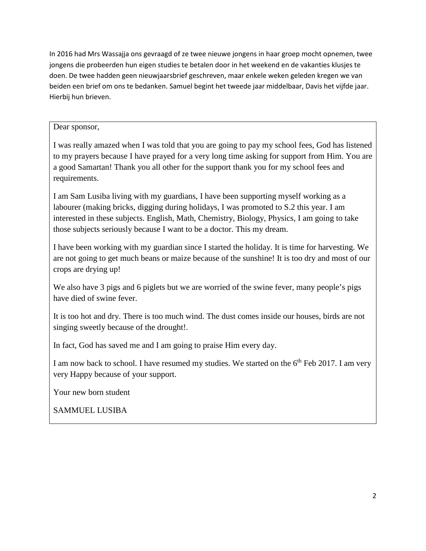In 2016 had Mrs Wassajja ons gevraagd of ze twee nieuwe jongens in haar groep mocht opnemen, twee jongens die probeerden hun eigen studies te betalen door in het weekend en de vakanties klusjes te doen. De twee hadden geen nieuwjaarsbrief geschreven, maar enkele weken geleden kregen we van beiden een brief om ons te bedanken. Samuel begint het tweede jaar middelbaar, Davis het vijfde jaar. Hierbij hun brieven.

## Dear sponsor,

I was really amazed when I was told that you are going to pay my school fees, God has listened to my prayers because I have prayed for a very long time asking for support from Him. You are a good Samartan! Thank you all other for the support thank you for my school fees and requirements.

I am Sam Lusiba living with my guardians, I have been supporting myself working as a labourer (making bricks, digging during holidays, I was promoted to S.2 this year. I am interested in these subjects. English, Math, Chemistry, Biology, Physics, I am going to take those subjects seriously because I want to be a doctor. This my dream.

I have been working with my guardian since I started the holiday. It is time for harvesting. We are not going to get much beans or maize because of the sunshine! It is too dry and most of our crops are drying up!

We also have 3 pigs and 6 piglets but we are worried of the swine fever, many people's pigs have died of swine fever.

It is too hot and dry. There is too much wind. The dust comes inside our houses, birds are not singing sweetly because of the drought!.

In fact, God has saved me and I am going to praise Him every day.

I am now back to school. I have resumed my studies. We started on the 6<sup>th</sup> Feb 2017. I am very very Happy because of your support.

Your new born student

SAMMUEL LUSIBA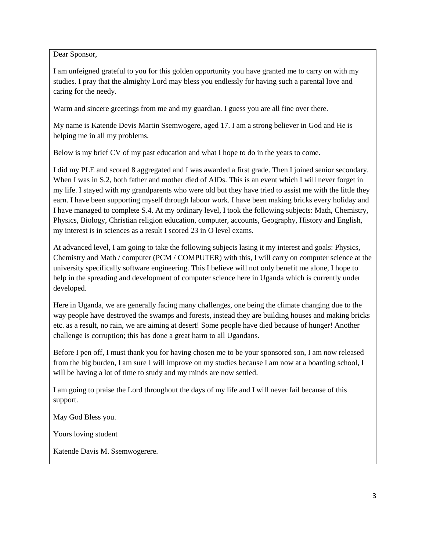Dear Sponsor,

I am unfeigned grateful to you for this golden opportunity you have granted me to carry on with my studies. I pray that the almighty Lord may bless you endlessly for having such a parental love and caring for the needy.

Warm and sincere greetings from me and my guardian. I guess you are all fine over there.

My name is Katende Devis Martin Ssemwogere, aged 17. I am a strong believer in God and He is helping me in all my problems.

Below is my brief CV of my past education and what I hope to do in the years to come.

I did my PLE and scored 8 aggregated and I was awarded a first grade. Then I joined senior secondary. When I was in S.2, both father and mother died of AIDs. This is an event which I will never forget in my life. I stayed with my grandparents who were old but they have tried to assist me with the little they earn. I have been supporting myself through labour work. I have been making bricks every holiday and I have managed to complete S.4. At my ordinary level, I took the following subjects: Math, Chemistry, Physics, Biology, Christian religion education, computer, accounts, Geography, History and English, my interest is in sciences as a result I scored 23 in O level exams.

At advanced level, I am going to take the following subjects lasing it my interest and goals: Physics, Chemistry and Math / computer (PCM / COMPUTER) with this, I will carry on computer science at the university specifically software engineering. This I believe will not only benefit me alone, I hope to help in the spreading and development of computer science here in Uganda which is currently under developed.

Here in Uganda, we are generally facing many challenges, one being the climate changing due to the way people have destroyed the swamps and forests, instead they are building houses and making bricks etc. as a result, no rain, we are aiming at desert! Some people have died because of hunger! Another challenge is corruption; this has done a great harm to all Ugandans.

Before I pen off, I must thank you for having chosen me to be your sponsored son, I am now released from the big burden, I am sure I will improve on my studies because I am now at a boarding school, I will be having a lot of time to study and my minds are now settled.

I am going to praise the Lord throughout the days of my life and I will never fail because of this support.

May God Bless you.

Yours loving student

Katende Davis M. Ssemwogerere.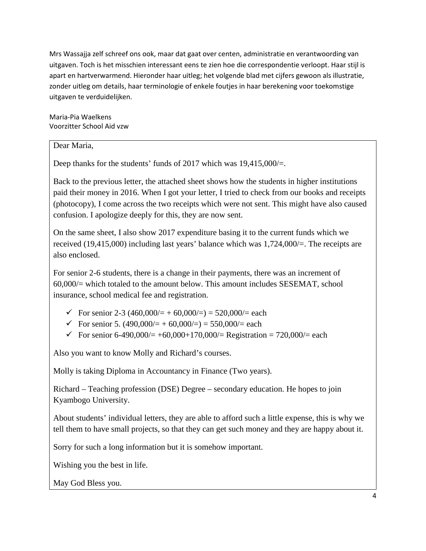Mrs Wassajja zelf schreef ons ook, maar dat gaat over centen, administratie en verantwoording van uitgaven. Toch is het misschien interessant eens te zien hoe die correspondentie verloopt. Haar stijl is apart en hartverwarmend. Hieronder haar uitleg; het volgende blad met cijfers gewoon als illustratie, zonder uitleg om details, haar terminologie of enkele foutjes in haar berekening voor toekomstige uitgaven te verduidelijken.

Maria-Pia Waelkens Voorzitter School Aid vzw

Dear Maria,

Deep thanks for the students' funds of 2017 which was 19,415,000/=.

Back to the previous letter, the attached sheet shows how the students in higher institutions paid their money in 2016. When I got your letter, I tried to check from our books and receipts (photocopy), I come across the two receipts which were not sent. This might have also caused confusion. I apologize deeply for this, they are now sent.

On the same sheet, I also show 2017 expenditure basing it to the current funds which we received (19,415,000) including last years' balance which was 1,724,000/=. The receipts are also enclosed.

For senior 2-6 students, there is a change in their payments, there was an increment of 60,000/= which totaled to the amount below. This amount includes SESEMAT, school insurance, school medical fee and registration.

- $\checkmark$  For senior 2-3 (460,000/= + 60,000/=) = 520,000/= each
- For senior 5.  $(490,000/= + 60,000/= ) = 550,000/=$  each
- $\checkmark$  For senior 6-490,000/= +60,000+170,000/= Registration = 720,000/= each

Also you want to know Molly and Richard's courses.

Molly is taking Diploma in Accountancy in Finance (Two years).

Richard – Teaching profession (DSE) Degree – secondary education. He hopes to join Kyambogo University.

About students' individual letters, they are able to afford such a little expense, this is why we tell them to have small projects, so that they can get such money and they are happy about it.

Sorry for such a long information but it is somehow important.

Wishing you the best in life.

May God Bless you.